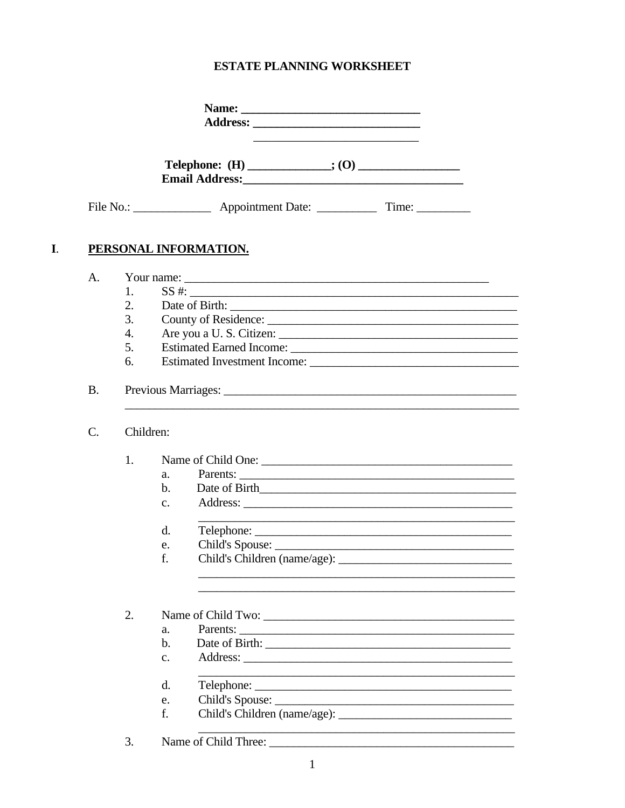# ESTATE PLANNING WORKSHEET

|                 |           |                |                       | Email Address: No. 1998. The Commission of the Commission of the Commission of the Commission of the Commission |  |  |
|-----------------|-----------|----------------|-----------------------|-----------------------------------------------------------------------------------------------------------------|--|--|
|                 |           |                |                       |                                                                                                                 |  |  |
|                 |           |                | PERSONAL INFORMATION. |                                                                                                                 |  |  |
| A.              |           |                |                       |                                                                                                                 |  |  |
|                 | 1.        |                |                       | SS #:                                                                                                           |  |  |
|                 | 2.        |                |                       |                                                                                                                 |  |  |
|                 | 3.        |                |                       | County of Residence:                                                                                            |  |  |
|                 | 4.        |                |                       |                                                                                                                 |  |  |
|                 | 5.        |                |                       |                                                                                                                 |  |  |
|                 | 6.        |                |                       |                                                                                                                 |  |  |
| <b>B.</b>       |           |                |                       |                                                                                                                 |  |  |
| $\mathcal{C}$ . | Children: |                |                       |                                                                                                                 |  |  |
|                 | 1.        |                |                       | Name of Child One:                                                                                              |  |  |
|                 |           | a.             |                       | Parents:                                                                                                        |  |  |
|                 |           | $\mathbf{b}$ . |                       |                                                                                                                 |  |  |
|                 |           | $\mathbf{c}$ . |                       |                                                                                                                 |  |  |
|                 |           | $\mathbf{d}$ . |                       | <u> 1989 - Johann Stoff, amerikansk politiker (d. 1989)</u>                                                     |  |  |
|                 |           | e.             |                       | Child's Spouse:                                                                                                 |  |  |
|                 |           | f.             |                       |                                                                                                                 |  |  |
|                 |           |                |                       |                                                                                                                 |  |  |
|                 | 2.        |                |                       |                                                                                                                 |  |  |
|                 |           | a.<br>b.       |                       | Parents:                                                                                                        |  |  |
|                 |           | $C_{\bullet}$  |                       |                                                                                                                 |  |  |
|                 |           |                |                       |                                                                                                                 |  |  |
|                 |           | d.             |                       |                                                                                                                 |  |  |
|                 |           | e.             |                       |                                                                                                                 |  |  |
|                 |           | f.             |                       |                                                                                                                 |  |  |
|                 | 3.        |                |                       |                                                                                                                 |  |  |

 $\mathbf{I}$ .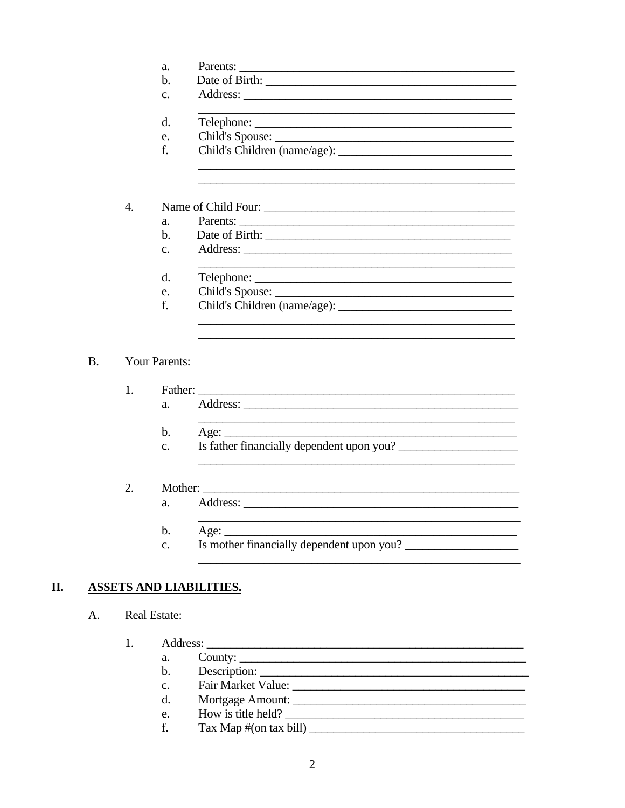|                | a.                   | Parents:        |  |  |  |  |  |  |
|----------------|----------------------|-----------------|--|--|--|--|--|--|
|                | h.                   |                 |  |  |  |  |  |  |
|                | $\mathcal{C}$ .      |                 |  |  |  |  |  |  |
|                | d.                   |                 |  |  |  |  |  |  |
|                | e.                   |                 |  |  |  |  |  |  |
|                |                      |                 |  |  |  |  |  |  |
|                |                      |                 |  |  |  |  |  |  |
| $\mathbf{4}$   |                      |                 |  |  |  |  |  |  |
|                | a <sub>z</sub>       | Parents:        |  |  |  |  |  |  |
|                | $h_{\cdot}$          |                 |  |  |  |  |  |  |
|                | $C_{\star}$          |                 |  |  |  |  |  |  |
|                | d.                   |                 |  |  |  |  |  |  |
|                | e.                   | Child's Spouse: |  |  |  |  |  |  |
|                | f.                   |                 |  |  |  |  |  |  |
|                |                      |                 |  |  |  |  |  |  |
|                | <b>Your Parents:</b> |                 |  |  |  |  |  |  |
|                |                      |                 |  |  |  |  |  |  |
| $\mathbf{1}$ . |                      | Father:         |  |  |  |  |  |  |

| . . | $1.107$ and $0.007$ |  |  |
|-----|---------------------|--|--|
|     |                     |  |  |

<u> 1980 - Jan James James Barnett, martin eta idazleari (h. 1980).</u>

<u> 1990 - Johann Barbara, martin a</u>

- $<sub>b</sub>$ .</sub> Age:  $\_\_$
- Is father financially dependent upon you?  $\mathbf{c}$ .
- $2.$ Mother:
	- Address:  $a_{\cdot}$
	- <u> 1989 Johann John Stone, market fan it ferskearre fan it ferskearre fan it ferskearre fan it ferskearre fan</u>  $\mathbf b$ .
	- Is mother financially dependent upon you?  $\mathbf{c}$ .

### II. **ASSETS AND LIABILITIES.**

A. Real Estate:

 $B<sub>1</sub>$ 

- $1.$ 
	- $a_{\cdot}$  $<sub>b</sub>$ .</sub>  $\mathbf{c}$ .
	- $\mathbf{d}$ .
	- How is title held?  $e_{\cdot}$
	- $\text{Tax Map } \# \text{(on tax bill)}$ f.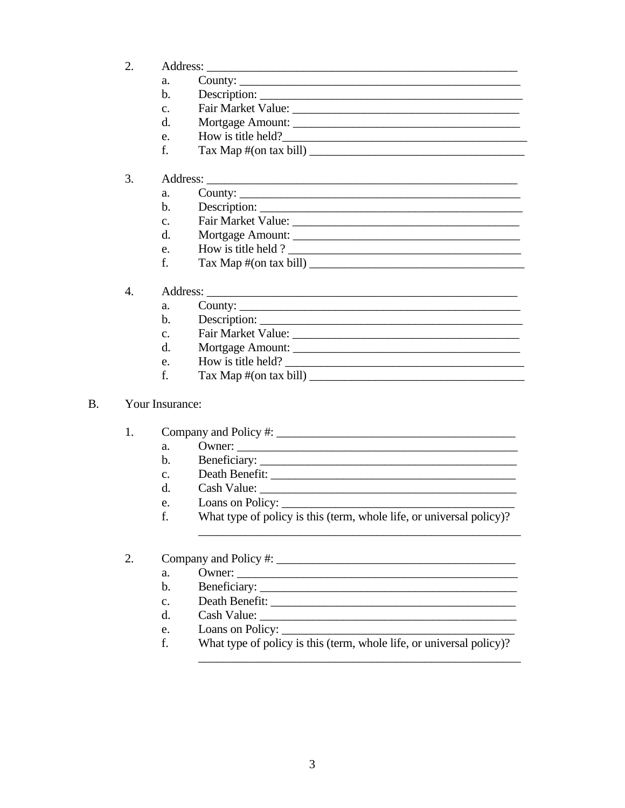- 2.
	- $a_{\cdot}$
	- $<sub>b</sub>$ </sub>
	- $\mathbf{c}$ .
	- $d_{\cdot}$ Mortgage Amount:
	- How is title held? e.
	- f.  $\text{Tax Map } \# \text{(on tax bill)}$

#### 3. Address: No. 1998. The Committee of the Committee of the Committee of the Committee of the Committee of the Committee of the Committee of the Committee of the Committee of the Committee of the Committee of the Committee of

- County:  $a<sub>z</sub>$
- $<sub>b</sub>$ .</sub>
- Fair Market Value:  $\mathbf{c}$ .
- Mortgage Amount:  $\mathbf{d}$
- e. How is title held ?
- $\text{Tax Map } \# \text{(on tax bill)}$ f.
- Address: No. 1998. The Committee of the Committee of the Committee of the Committee of the Committee of the Committee of the Committee of the Committee of the Committee of the Committee of the Committee of the Committee of  $\overline{4}$ .
	- County:  $a<sub>1</sub>$
	- Description:  $\mathbf b$ .
	- $\mathbf{c}$ .
	- $\mathbf{d}$ . Mortgage Amount:
	- How is title held?  $e_{i}$
	- $f_{\cdot}$  $\text{Tax Map } \# \text{(on tax bill)}$

#### **B.** Your Insurance:

- $1.$ 
	- Owner:  $a_{\cdot}$
	- $\mathbf{b}$ .
	- $\mathbf{c}$ .
	- Cash Value:  $d_{\cdot}$
	- e. Loans on Policy:
	- f. What type of policy is this (term, whole life, or universal policy)?

#### $\overline{2}$ .

- $\mathbf{a}$ . Owner:
- $<sub>b</sub>$ .</sub>
- $\mathbf{c}$ . Death Benefit:
- $d_{-}$
- $e<sub>z</sub>$ Loans on Policy:
- f. What type of policy is this (term, whole life, or universal policy)?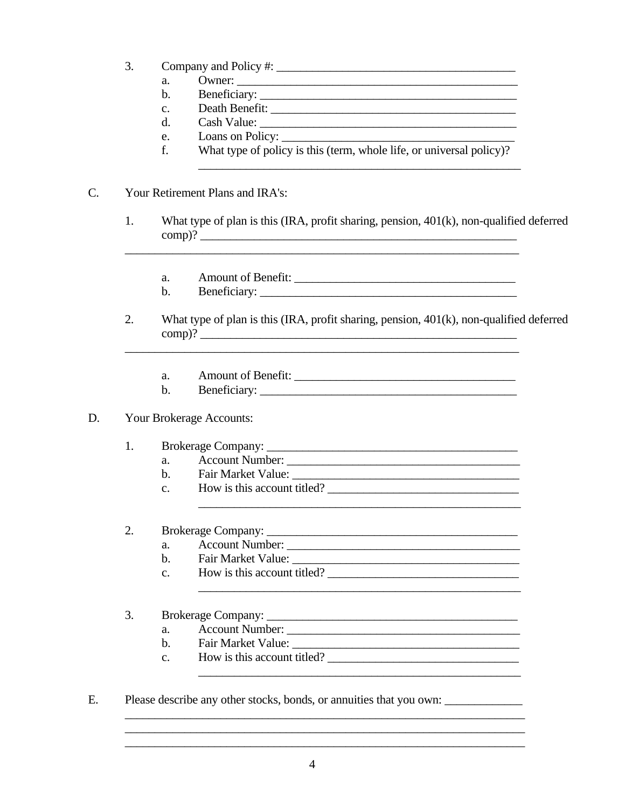- 3. Company and Policy #:
	- Owner:  $a_{\cdot}$
	- $<sub>b</sub>$ </sub>
	- $\mathbf{c}$ .
	- $\rm d$ .
	- e. Loans on Policy:
	- f. What type of policy is this (term, whole life, or universal policy)?

#### $C_{\cdot}$ Your Retirement Plans and IRA's:

- What type of plan is this (IRA, profit sharing, pension, 401(k), non-qualified deferred  $1<sub>1</sub>$ 
	- a.
	- $\mathbf{b}$ .
- 2. What type of plan is this (IRA, profit sharing, pension, 401(k), non-qualified deferred  $comp)?$ 
	- Amount of Benefit: a.
	- $\mathbf b$ .

#### D. Your Brokerage Accounts:

#### $1<sub>1</sub>$ Brokerage Company:

- $\mathbf{a}$ .
- $h_{-}$
- How is this account titled?  $\mathbf{c}$ .

#### 2.

- Account Number:  $\overline{a}$ .
- $\mathbf{b}$ .
- How is this account titled?  $\mathbf{c}$ .

<u> 1989 - Johann Harry Harry Harry Harry Harry Harry Harry Harry Harry Harry Harry Harry Harry Harry Harry Harry</u>

#### $\overline{3}$ .

- Account Number:  $\mathbf{a}$ .
- Fair Market Value:  $\mathbf{b}$ .
- How is this account titled?  $\mathbf{c}$ .
- $E.$ Please describe any other stocks, bonds, or annuities that you own: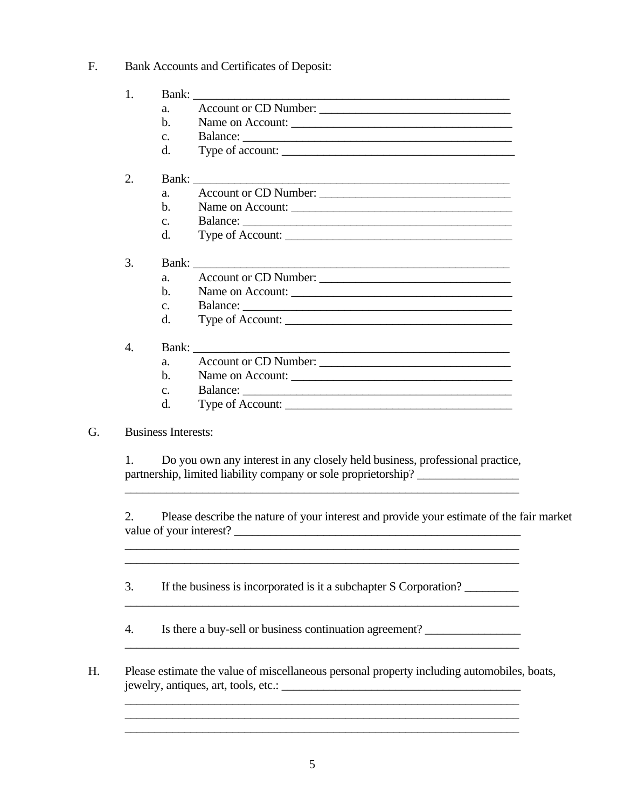### F. Bank Accounts and Certificates of Deposit:

| 1.               | Account or CD Number:<br>a.<br>$\mathbf{b}$ .<br>Name on Account:<br>C <sub>1</sub><br>Type of account:<br>d. |
|------------------|---------------------------------------------------------------------------------------------------------------|
| 2.               | Account or CD Number:<br>a.<br>$\mathbf{b}$ .<br>Name on Account:<br>C <sub>1</sub><br>d.                     |
| 3.               | Account or CD Number:<br>a.<br>$h_{\cdot}$<br>Name on Account:<br>C <sub>1</sub><br>Type of Account:<br>d.    |
| $\overline{4}$ . | Account or CD Number:<br>a.<br>Name on Account:<br>$b$ .<br>$C_{\star}$<br>Type of Account:<br>d.             |

## G. Business Interests:

 1. Do you own any interest in any closely held business, professional practice, partnership, limited liability company or sole proprietorship? \_\_\_\_\_\_\_\_\_\_\_\_\_\_\_\_\_

 2. Please describe the nature of your interest and provide your estimate of the fair market value of your interest? \_\_\_\_\_\_\_\_\_\_\_\_\_\_\_\_\_\_\_\_\_\_\_\_\_\_\_\_\_\_\_\_\_\_\_\_\_\_\_\_\_\_\_\_\_\_\_\_

 $\mathcal{L}_\mathcal{L} = \mathcal{L}_\mathcal{L} = \mathcal{L}_\mathcal{L} = \mathcal{L}_\mathcal{L} = \mathcal{L}_\mathcal{L} = \mathcal{L}_\mathcal{L} = \mathcal{L}_\mathcal{L} = \mathcal{L}_\mathcal{L} = \mathcal{L}_\mathcal{L} = \mathcal{L}_\mathcal{L} = \mathcal{L}_\mathcal{L} = \mathcal{L}_\mathcal{L} = \mathcal{L}_\mathcal{L} = \mathcal{L}_\mathcal{L} = \mathcal{L}_\mathcal{L} = \mathcal{L}_\mathcal{L} = \mathcal{L}_\mathcal{L}$ 

3. If the business is incorporated is it a subchapter S Corporation?

4. Is there a buy-sell or business continuation agreement?

 $\overline{\phantom{a}}$  ,  $\overline{\phantom{a}}$  ,  $\overline{\phantom{a}}$  ,  $\overline{\phantom{a}}$  ,  $\overline{\phantom{a}}$  ,  $\overline{\phantom{a}}$  ,  $\overline{\phantom{a}}$  ,  $\overline{\phantom{a}}$  ,  $\overline{\phantom{a}}$  ,  $\overline{\phantom{a}}$  ,  $\overline{\phantom{a}}$  ,  $\overline{\phantom{a}}$  ,  $\overline{\phantom{a}}$  ,  $\overline{\phantom{a}}$  ,  $\overline{\phantom{a}}$  ,  $\overline{\phantom{a}}$ 

 $\overline{\phantom{a}}$  ,  $\overline{\phantom{a}}$  ,  $\overline{\phantom{a}}$  ,  $\overline{\phantom{a}}$  ,  $\overline{\phantom{a}}$  ,  $\overline{\phantom{a}}$  ,  $\overline{\phantom{a}}$  ,  $\overline{\phantom{a}}$  ,  $\overline{\phantom{a}}$  ,  $\overline{\phantom{a}}$  ,  $\overline{\phantom{a}}$  ,  $\overline{\phantom{a}}$  ,  $\overline{\phantom{a}}$  ,  $\overline{\phantom{a}}$  ,  $\overline{\phantom{a}}$  ,  $\overline{\phantom{a}}$ 

 H. Please estimate the value of miscellaneous personal property including automobiles, boats, jewelry, antiques, art, tools, etc.: \_\_\_\_\_\_\_\_\_\_\_\_\_\_\_\_\_\_\_\_\_\_\_\_\_\_\_\_\_\_\_\_\_\_\_\_\_\_\_\_

 $\overline{\phantom{a}}$  , and the contribution of the contribution of the contribution of the contribution of the contribution of the contribution of the contribution of the contribution of the contribution of the contribution of the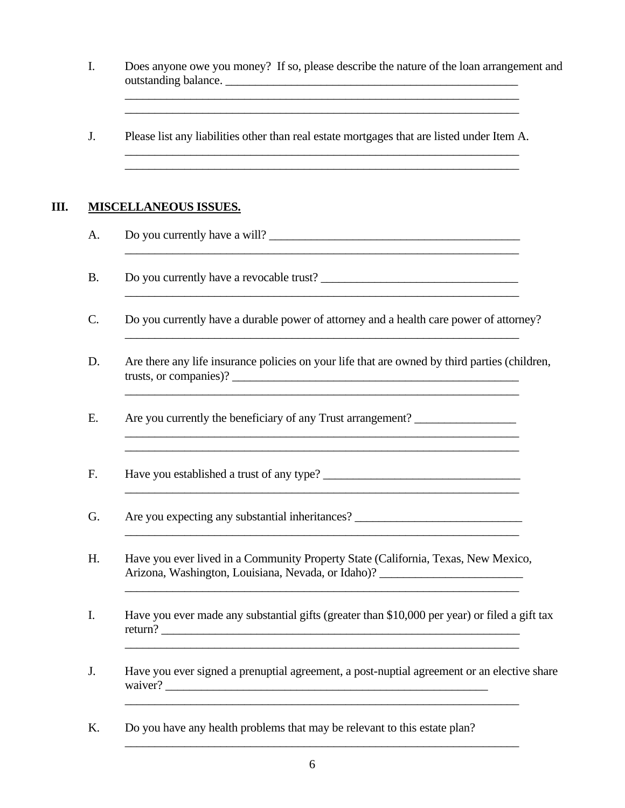- I. Does anyone owe you money? If so, please describe the nature of the loan arrangement and outstanding balance. \_\_\_\_\_\_\_\_\_\_\_\_\_\_\_\_\_\_\_\_\_\_\_\_\_\_\_\_\_\_\_\_\_\_\_\_\_\_\_\_\_\_\_\_\_\_\_\_\_
- J. Please list any liabilities other than real estate mortgages that are listed under Item A.  $\overline{\phantom{a}}$  ,  $\overline{\phantom{a}}$  ,  $\overline{\phantom{a}}$  ,  $\overline{\phantom{a}}$  ,  $\overline{\phantom{a}}$  ,  $\overline{\phantom{a}}$  ,  $\overline{\phantom{a}}$  ,  $\overline{\phantom{a}}$  ,  $\overline{\phantom{a}}$  ,  $\overline{\phantom{a}}$  ,  $\overline{\phantom{a}}$  ,  $\overline{\phantom{a}}$  ,  $\overline{\phantom{a}}$  ,  $\overline{\phantom{a}}$  ,  $\overline{\phantom{a}}$  ,  $\overline{\phantom{a}}$

 $\mathcal{L}_\mathcal{L} = \mathcal{L}_\mathcal{L} = \mathcal{L}_\mathcal{L} = \mathcal{L}_\mathcal{L} = \mathcal{L}_\mathcal{L} = \mathcal{L}_\mathcal{L} = \mathcal{L}_\mathcal{L} = \mathcal{L}_\mathcal{L} = \mathcal{L}_\mathcal{L} = \mathcal{L}_\mathcal{L} = \mathcal{L}_\mathcal{L} = \mathcal{L}_\mathcal{L} = \mathcal{L}_\mathcal{L} = \mathcal{L}_\mathcal{L} = \mathcal{L}_\mathcal{L} = \mathcal{L}_\mathcal{L} = \mathcal{L}_\mathcal{L}$  $\overline{\phantom{a}}$  ,  $\overline{\phantom{a}}$  ,  $\overline{\phantom{a}}$  ,  $\overline{\phantom{a}}$  ,  $\overline{\phantom{a}}$  ,  $\overline{\phantom{a}}$  ,  $\overline{\phantom{a}}$  ,  $\overline{\phantom{a}}$  ,  $\overline{\phantom{a}}$  ,  $\overline{\phantom{a}}$  ,  $\overline{\phantom{a}}$  ,  $\overline{\phantom{a}}$  ,  $\overline{\phantom{a}}$  ,  $\overline{\phantom{a}}$  ,  $\overline{\phantom{a}}$  ,  $\overline{\phantom{a}}$ 

 $\overline{\phantom{a}}$  ,  $\overline{\phantom{a}}$  ,  $\overline{\phantom{a}}$  ,  $\overline{\phantom{a}}$  ,  $\overline{\phantom{a}}$  ,  $\overline{\phantom{a}}$  ,  $\overline{\phantom{a}}$  ,  $\overline{\phantom{a}}$  ,  $\overline{\phantom{a}}$  ,  $\overline{\phantom{a}}$  ,  $\overline{\phantom{a}}$  ,  $\overline{\phantom{a}}$  ,  $\overline{\phantom{a}}$  ,  $\overline{\phantom{a}}$  ,  $\overline{\phantom{a}}$  ,  $\overline{\phantom{a}}$ 

 $\overline{\phantom{a}}$  ,  $\overline{\phantom{a}}$  ,  $\overline{\phantom{a}}$  ,  $\overline{\phantom{a}}$  ,  $\overline{\phantom{a}}$  ,  $\overline{\phantom{a}}$  ,  $\overline{\phantom{a}}$  ,  $\overline{\phantom{a}}$  ,  $\overline{\phantom{a}}$  ,  $\overline{\phantom{a}}$  ,  $\overline{\phantom{a}}$  ,  $\overline{\phantom{a}}$  ,  $\overline{\phantom{a}}$  ,  $\overline{\phantom{a}}$  ,  $\overline{\phantom{a}}$  ,  $\overline{\phantom{a}}$ 

 $\overline{\phantom{a}}$  ,  $\overline{\phantom{a}}$  ,  $\overline{\phantom{a}}$  ,  $\overline{\phantom{a}}$  ,  $\overline{\phantom{a}}$  ,  $\overline{\phantom{a}}$  ,  $\overline{\phantom{a}}$  ,  $\overline{\phantom{a}}$  ,  $\overline{\phantom{a}}$  ,  $\overline{\phantom{a}}$  ,  $\overline{\phantom{a}}$  ,  $\overline{\phantom{a}}$  ,  $\overline{\phantom{a}}$  ,  $\overline{\phantom{a}}$  ,  $\overline{\phantom{a}}$  ,  $\overline{\phantom{a}}$ 

 $\overline{\phantom{a}}$  ,  $\overline{\phantom{a}}$  ,  $\overline{\phantom{a}}$  ,  $\overline{\phantom{a}}$  ,  $\overline{\phantom{a}}$  ,  $\overline{\phantom{a}}$  ,  $\overline{\phantom{a}}$  ,  $\overline{\phantom{a}}$  ,  $\overline{\phantom{a}}$  ,  $\overline{\phantom{a}}$  ,  $\overline{\phantom{a}}$  ,  $\overline{\phantom{a}}$  ,  $\overline{\phantom{a}}$  ,  $\overline{\phantom{a}}$  ,  $\overline{\phantom{a}}$  ,  $\overline{\phantom{a}}$ 

### **III. MISCELLANEOUS ISSUES.**

- A. Do you currently have a will?
- B. Do you currently have a revocable trust?
- C. Do you currently have a durable power of attorney and a health care power of attorney?
- D. Are there any life insurance policies on your life that are owned by third parties (children, trusts, or companies)?

\_\_\_\_\_\_\_\_\_\_\_\_\_\_\_\_\_\_\_\_\_\_\_\_\_\_\_\_\_\_\_\_\_\_\_\_\_\_\_\_\_\_\_\_\_\_\_\_\_\_\_\_\_\_\_\_\_\_\_\_\_\_\_\_\_\_

 $\mathcal{L}_\mathcal{L} = \{ \mathcal{L}_\mathcal{L} = \{ \mathcal{L}_\mathcal{L} = \{ \mathcal{L}_\mathcal{L} = \{ \mathcal{L}_\mathcal{L} = \{ \mathcal{L}_\mathcal{L} = \{ \mathcal{L}_\mathcal{L} = \{ \mathcal{L}_\mathcal{L} = \{ \mathcal{L}_\mathcal{L} = \{ \mathcal{L}_\mathcal{L} = \{ \mathcal{L}_\mathcal{L} = \{ \mathcal{L}_\mathcal{L} = \{ \mathcal{L}_\mathcal{L} = \{ \mathcal{L}_\mathcal{L} = \{ \mathcal{L}_\mathcal{$ 

 $\_$  , and the state of the state of the state of the state of the state of the state of the state of the state of the state of the state of the state of the state of the state of the state of the state of the state of the

 $\mathcal{L}_\mathcal{L} = \{ \mathcal{L}_\mathcal{L} = \{ \mathcal{L}_\mathcal{L} = \{ \mathcal{L}_\mathcal{L} = \{ \mathcal{L}_\mathcal{L} = \{ \mathcal{L}_\mathcal{L} = \{ \mathcal{L}_\mathcal{L} = \{ \mathcal{L}_\mathcal{L} = \{ \mathcal{L}_\mathcal{L} = \{ \mathcal{L}_\mathcal{L} = \{ \mathcal{L}_\mathcal{L} = \{ \mathcal{L}_\mathcal{L} = \{ \mathcal{L}_\mathcal{L} = \{ \mathcal{L}_\mathcal{L} = \{ \mathcal{L}_\mathcal{$ 

- E. Are you currently the beneficiary of any Trust arrangement? \_\_\_\_\_\_\_\_\_\_\_\_\_\_\_\_\_
- F. Have you established a trust of any type? \_\_\_\_\_\_\_\_\_\_\_\_\_\_\_\_\_\_\_\_\_\_\_\_\_\_\_\_\_\_\_\_\_\_\_
- G. Are you expecting any substantial inheritances?
- H. Have you ever lived in a Community Property State (California, Texas, New Mexico, Arizona, Washington, Louisiana, Nevada, or Idaho)?
- I. Have you ever made any substantial gifts (greater than \$10,000 per year) or filed a gift tax return? \_\_\_\_\_\_\_\_\_\_\_\_\_\_\_\_\_\_\_\_\_\_\_\_\_\_\_\_\_\_\_\_\_\_\_\_\_\_\_\_\_\_\_\_\_\_\_\_\_\_\_\_\_\_\_\_\_\_\_\_

\_\_\_\_\_\_\_\_\_\_\_\_\_\_\_\_\_\_\_\_\_\_\_\_\_\_\_\_\_\_\_\_\_\_\_\_\_\_\_\_\_\_\_\_\_\_\_\_\_\_\_\_\_\_\_\_\_\_\_\_\_\_\_\_\_\_

 J. Have you ever signed a prenuptial agreement, a post-nuptial agreement or an elective share waiver? \_\_\_\_\_\_\_\_\_\_\_\_\_\_\_\_\_\_\_\_\_\_\_\_\_\_\_\_\_\_\_\_\_\_\_\_\_\_\_\_\_\_\_\_\_\_\_\_\_\_\_\_\_\_

 K. Do you have any health problems that may be relevant to this estate plan?  $\overline{\phantom{a}}$  ,  $\overline{\phantom{a}}$  ,  $\overline{\phantom{a}}$  ,  $\overline{\phantom{a}}$  ,  $\overline{\phantom{a}}$  ,  $\overline{\phantom{a}}$  ,  $\overline{\phantom{a}}$  ,  $\overline{\phantom{a}}$  ,  $\overline{\phantom{a}}$  ,  $\overline{\phantom{a}}$  ,  $\overline{\phantom{a}}$  ,  $\overline{\phantom{a}}$  ,  $\overline{\phantom{a}}$  ,  $\overline{\phantom{a}}$  ,  $\overline{\phantom{a}}$  ,  $\overline{\phantom{a}}$ 

 $\mathcal{L}_\mathcal{L} = \mathcal{L}_\mathcal{L} = \mathcal{L}_\mathcal{L} = \mathcal{L}_\mathcal{L} = \mathcal{L}_\mathcal{L} = \mathcal{L}_\mathcal{L} = \mathcal{L}_\mathcal{L} = \mathcal{L}_\mathcal{L} = \mathcal{L}_\mathcal{L} = \mathcal{L}_\mathcal{L} = \mathcal{L}_\mathcal{L} = \mathcal{L}_\mathcal{L} = \mathcal{L}_\mathcal{L} = \mathcal{L}_\mathcal{L} = \mathcal{L}_\mathcal{L} = \mathcal{L}_\mathcal{L} = \mathcal{L}_\mathcal{L}$